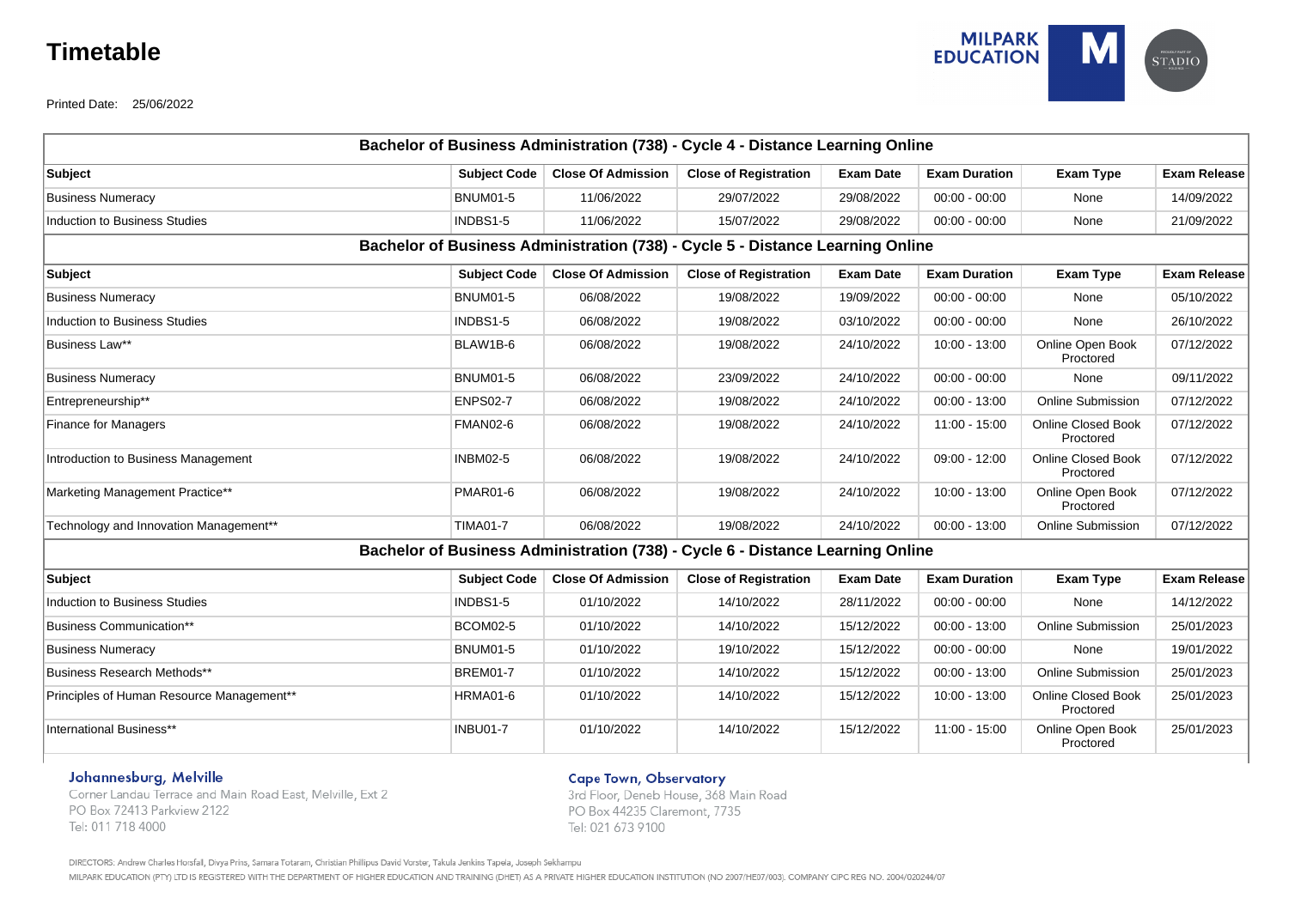# **Timetable**



Printed Date: 25/06/2022

|                                           |                     |                           | Bachelor of Business Administration (738) - Cycle 4 - Distance Learning Online |                  |                      |                                        |                     |
|-------------------------------------------|---------------------|---------------------------|--------------------------------------------------------------------------------|------------------|----------------------|----------------------------------------|---------------------|
| <b>Subject</b>                            | <b>Subject Code</b> | <b>Close Of Admission</b> | <b>Close of Registration</b>                                                   | <b>Exam Date</b> | <b>Exam Duration</b> | <b>Exam Type</b>                       | <b>Exam Release</b> |
| <b>Business Numeracy</b>                  | <b>BNUM01-5</b>     | 11/06/2022                | 29/07/2022                                                                     | 29/08/2022       | $00:00 - 00:00$      | None                                   | 14/09/2022          |
| <b>Induction to Business Studies</b>      | INDBS1-5            | 11/06/2022                | 15/07/2022                                                                     | 29/08/2022       | $00:00 - 00:00$      | None                                   | 21/09/2022          |
|                                           |                     |                           | Bachelor of Business Administration (738) - Cycle 5 - Distance Learning Online |                  |                      |                                        |                     |
| <b>Subject</b>                            | <b>Subject Code</b> | <b>Close Of Admission</b> | <b>Close of Registration</b>                                                   | <b>Exam Date</b> | <b>Exam Duration</b> | Exam Type                              | <b>Exam Release</b> |
| <b>Business Numeracy</b>                  | <b>BNUM01-5</b>     | 06/08/2022                | 19/08/2022                                                                     | 19/09/2022       | $00:00 - 00:00$      | None                                   | 05/10/2022          |
| <b>Induction to Business Studies</b>      | INDBS1-5            | 06/08/2022                | 19/08/2022                                                                     | 03/10/2022       | $00:00 - 00:00$      | None                                   | 26/10/2022          |
| Business Law**                            | BLAW1B-6            | 06/08/2022                | 19/08/2022                                                                     | 24/10/2022       | 10:00 - 13:00        | Online Open Book<br>Proctored          | 07/12/2022          |
| <b>Business Numeracy</b>                  | <b>BNUM01-5</b>     | 06/08/2022                | 23/09/2022                                                                     | 24/10/2022       | $00:00 - 00:00$      | None                                   | 09/11/2022          |
| Entrepreneurship**                        | <b>ENPS02-7</b>     | 06/08/2022                | 19/08/2022                                                                     | 24/10/2022       | $00:00 - 13:00$      | <b>Online Submission</b>               | 07/12/2022          |
| <b>Finance for Managers</b>               | <b>FMAN02-6</b>     | 06/08/2022                | 19/08/2022                                                                     | 24/10/2022       | 11:00 - 15:00        | <b>Online Closed Book</b><br>Proctored | 07/12/2022          |
| Introduction to Business Management       | <b>INBM02-5</b>     | 06/08/2022                | 19/08/2022                                                                     | 24/10/2022       | $09:00 - 12:00$      | <b>Online Closed Book</b><br>Proctored | 07/12/2022          |
| Marketing Management Practice**           | <b>PMAR01-6</b>     | 06/08/2022                | 19/08/2022                                                                     | 24/10/2022       | $10:00 - 13:00$      | Online Open Book<br>Proctored          | 07/12/2022          |
| Technology and Innovation Management**    | <b>TIMA01-7</b>     | 06/08/2022                | 19/08/2022                                                                     | 24/10/2022       | $00:00 - 13:00$      | <b>Online Submission</b>               | 07/12/2022          |
|                                           |                     |                           | Bachelor of Business Administration (738) - Cycle 6 - Distance Learning Online |                  |                      |                                        |                     |
| <b>Subject</b>                            | <b>Subject Code</b> | <b>Close Of Admission</b> | <b>Close of Registration</b>                                                   | <b>Exam Date</b> | <b>Exam Duration</b> | Exam Type                              | <b>Exam Release</b> |
| <b>Induction to Business Studies</b>      | INDBS1-5            | 01/10/2022                | 14/10/2022                                                                     | 28/11/2022       | $00:00 - 00:00$      | None                                   | 14/12/2022          |
| <b>Business Communication**</b>           | <b>BCOM02-5</b>     | 01/10/2022                | 14/10/2022                                                                     | 15/12/2022       | $00:00 - 13:00$      | <b>Online Submission</b>               | 25/01/2023          |
| <b>Business Numeracy</b>                  | <b>BNUM01-5</b>     | 01/10/2022                | 19/10/2022                                                                     | 15/12/2022       | $00:00 - 00:00$      | None                                   | 19/01/2022          |
| Business Research Methods**               | <b>BREM01-7</b>     | 01/10/2022                | 14/10/2022                                                                     | 15/12/2022       | $00:00 - 13:00$      | <b>Online Submission</b>               | 25/01/2023          |
| Principles of Human Resource Management** | <b>HRMA01-6</b>     | 01/10/2022                | 14/10/2022                                                                     | 15/12/2022       | 10:00 - 13:00        | <b>Online Closed Book</b><br>Proctored | 25/01/2023          |
| International Business**                  | <b>INBU01-7</b>     | 01/10/2022                | 14/10/2022                                                                     | 15/12/2022       | 11:00 - 15:00        | Online Open Book<br>Proctored          | 25/01/2023          |

## Johannesburg, Melville

Corner Landau Terrace and Main Road East, Melville, Ext 2 PO Box 72413 Parkview 2122 Tel: 011 718 4000

**Cape Town, Observatory** 

3rd Floor, Deneb House, 368 Main Road PO Box 44235 Claremont, 7735 Tel: 021 673 9100

DIRECTORS: Andrew Charles Horsfall, Divya Prins, Samara Totaram, Christian Phillipus David Vorster, Takula Jenkins Tapela, Joseph Sekhampu

MILPARK EDUCATION (PTY) LTD IS REGISTERED WITH THE DEPARTMENT OF HIGHER EDUCATION AND TRAINING (DHET) AS A PRIVATE HIGHER EDUCATION INSTITUTION (NO 2007/HE07/003). COMPANY CIPC REG NO. 2004/020244/07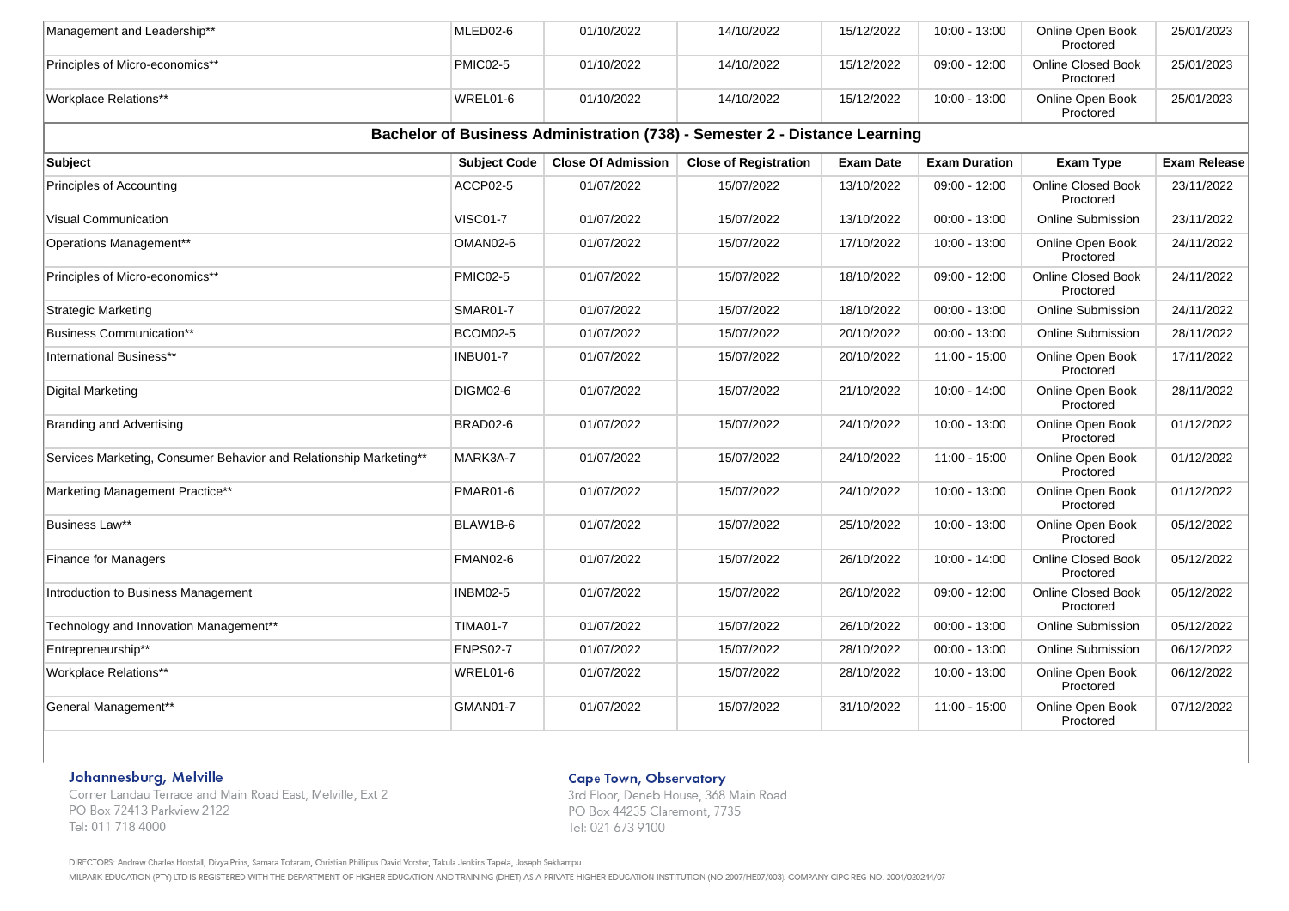| Management and Leadership**                                        | MLED02-6            | 01/10/2022                | 14/10/2022                                                                 | 15/12/2022       | 10:00 - 13:00        | Online Open Book<br>Proctored          | 25/01/2023          |
|--------------------------------------------------------------------|---------------------|---------------------------|----------------------------------------------------------------------------|------------------|----------------------|----------------------------------------|---------------------|
| Principles of Micro-economics**                                    | <b>PMIC02-5</b>     | 01/10/2022                | 14/10/2022                                                                 | 15/12/2022       | $09:00 - 12:00$      | Online Closed Book<br>Proctored        | 25/01/2023          |
| <b>Workplace Relations**</b>                                       | WREL01-6            | 01/10/2022                | 14/10/2022                                                                 | 15/12/2022       | 10:00 - 13:00        | Online Open Book<br>Proctored          | 25/01/2023          |
|                                                                    |                     |                           | Bachelor of Business Administration (738) - Semester 2 - Distance Learning |                  |                      |                                        |                     |
| Subject                                                            | <b>Subject Code</b> | <b>Close Of Admission</b> | <b>Close of Registration</b>                                               | <b>Exam Date</b> | <b>Exam Duration</b> | <b>Exam Type</b>                       | <b>Exam Release</b> |
| Principles of Accounting                                           | ACCP02-5            | 01/07/2022                | 15/07/2022                                                                 | 13/10/2022       | $09:00 - 12:00$      | <b>Online Closed Book</b><br>Proctored | 23/11/2022          |
| Visual Communication                                               | <b>VISC01-7</b>     | 01/07/2022                | 15/07/2022                                                                 | 13/10/2022       | $00:00 - 13:00$      | Online Submission                      | 23/11/2022          |
| Operations Management**                                            | OMAN02-6            | 01/07/2022                | 15/07/2022                                                                 | 17/10/2022       | 10:00 - 13:00        | Online Open Book<br>Proctored          | 24/11/2022          |
| Principles of Micro-economics**                                    | <b>PMIC02-5</b>     | 01/07/2022                | 15/07/2022                                                                 | 18/10/2022       | 09:00 - 12:00        | Online Closed Book<br>Proctored        | 24/11/2022          |
| <b>Strategic Marketing</b>                                         | <b>SMAR01-7</b>     | 01/07/2022                | 15/07/2022                                                                 | 18/10/2022       | $00:00 - 13:00$      | <b>Online Submission</b>               | 24/11/2022          |
| <b>Business Communication**</b>                                    | <b>BCOM02-5</b>     | 01/07/2022                | 15/07/2022                                                                 | 20/10/2022       | $00:00 - 13:00$      | <b>Online Submission</b>               | 28/11/2022          |
| International Business**                                           | <b>INBU01-7</b>     | 01/07/2022                | 15/07/2022                                                                 | 20/10/2022       | 11:00 - 15:00        | Online Open Book<br>Proctored          | 17/11/2022          |
| Digital Marketing                                                  | <b>DIGM02-6</b>     | 01/07/2022                | 15/07/2022                                                                 | 21/10/2022       | 10:00 - 14:00        | Online Open Book<br>Proctored          | 28/11/2022          |
| Branding and Advertising                                           | BRAD02-6            | 01/07/2022                | 15/07/2022                                                                 | 24/10/2022       | 10:00 - 13:00        | Online Open Book<br>Proctored          | 01/12/2022          |
| Services Marketing, Consumer Behavior and Relationship Marketing** | MARK3A-7            | 01/07/2022                | 15/07/2022                                                                 | 24/10/2022       | 11:00 - 15:00        | Online Open Book<br>Proctored          | 01/12/2022          |
| Marketing Management Practice**                                    | <b>PMAR01-6</b>     | 01/07/2022                | 15/07/2022                                                                 | 24/10/2022       | 10:00 - 13:00        | Online Open Book<br>Proctored          | 01/12/2022          |
| Business Law**                                                     | BLAW1B-6            | 01/07/2022                | 15/07/2022                                                                 | 25/10/2022       | 10:00 - 13:00        | Online Open Book<br>Proctored          | 05/12/2022          |
| <b>Finance for Managers</b>                                        | FMAN02-6            | 01/07/2022                | 15/07/2022                                                                 | 26/10/2022       | 10:00 - 14:00        | <b>Online Closed Book</b><br>Proctored | 05/12/2022          |
| Introduction to Business Management                                | <b>INBM02-5</b>     | 01/07/2022                | 15/07/2022                                                                 | 26/10/2022       | 09:00 - 12:00        | Online Closed Book<br>Proctored        | 05/12/2022          |
| Technology and Innovation Management**                             | <b>TIMA01-7</b>     | 01/07/2022                | 15/07/2022                                                                 | 26/10/2022       | $00:00 - 13:00$      | Online Submission                      | 05/12/2022          |
| Entrepreneurship**                                                 | <b>ENPS02-7</b>     | 01/07/2022                | 15/07/2022                                                                 | 28/10/2022       | $00:00 - 13:00$      | Online Submission                      | 06/12/2022          |
| <b>Workplace Relations**</b>                                       | WREL01-6            | 01/07/2022                | 15/07/2022                                                                 | 28/10/2022       | $10:00 - 13:00$      | Online Open Book<br>Proctored          | 06/12/2022          |
| General Management**                                               | GMAN01-7            | 01/07/2022                | 15/07/2022                                                                 | 31/10/2022       | 11:00 - 15:00        | Online Open Book<br>Proctored          | 07/12/2022          |

# Johannesburg, Melville

Corner Landau Terrace and Main Road East, Melville, Ext 2 PO Box 72413 Parkview 2122 Tel: 011 718 4000

### **Cape Town, Observatory**

3rd Floor, Deneb House, 368 Main Road PO Box 44235 Claremont, 7735 Tel: 021 673 9100

DIRECTORS: Andrew Charles Horsfall, Divya Prins, Samara Totaram, Christian Phillipus David Vorster, Takula Jenkins Tapela, Joseph Sekhampu

MILPARK EDUCATION (PTY) LTD IS REGISTERED WITH THE DEPARTMENT OF HIGHER EDUCATION AND TRAINING (DHET) AS A PRIVATE HIGHER EDUCATION INSTITUTION (NO 2007/HE07/003). COMPANY CIPC REG NO. 2004/020244/07